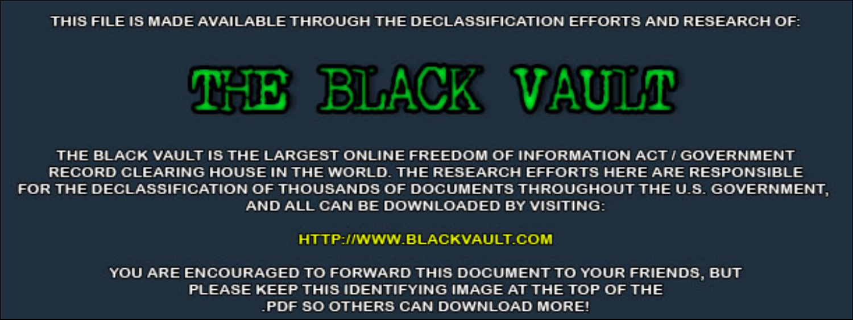THIS FILE IS MADE AVAILABLE THROUGH THE DECLASSIFICATION EFFORTS AND RESEARCH OF:



THE BLACK VAULT IS THE LARGEST ONLINE FREEDOM OF INFORMATION ACT / GOVERNMENT RECORD CLEARING HOUSE IN THE WORLD. THE RESEARCH EFFORTS HERE ARE RESPONSIBLE FOR THE DECLASSIFICATION OF THOUSANDS OF DOCUMENTS THROUGHOUT THE U.S. GOVERNMENT, AND ALL CAN BE DOWNLOADED BY VISITING:

**HTTP://WWW.BLACKVAULT.COM** 

YOU ARE ENCOURAGED TO FORWARD THIS DOCUMENT TO YOUR FRIENDS, BUT PLEASE KEEP THIS IDENTIFYING IMAGE AT THE TOP OF THE PDF SO OTHERS CAN DOWNLOAD MORE!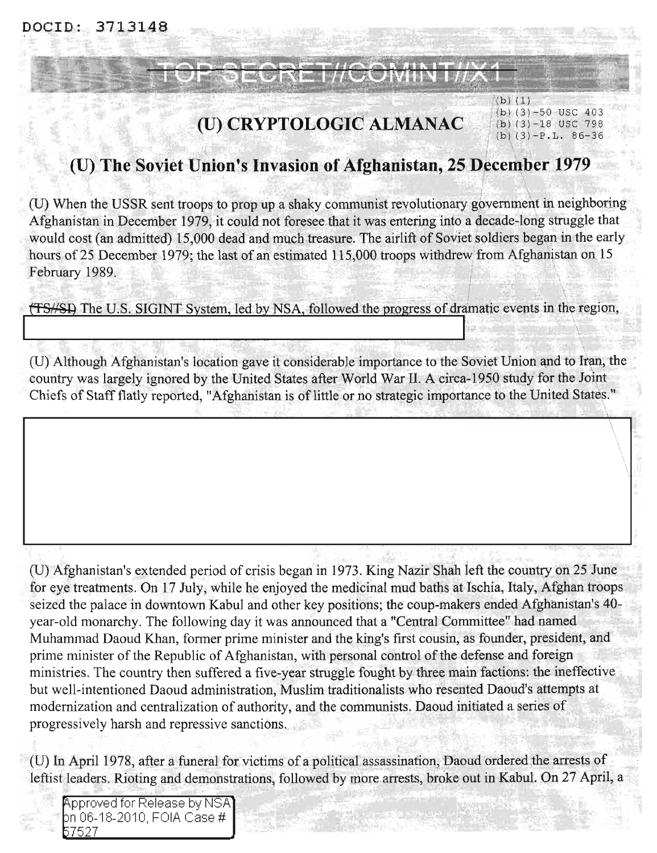DOCID: 3713148

# (U) CRYPTOLOGIC ALMANAC

#### $(b)$  $(1)$ (b)  $(3)$  -50 USC 403  $(b)$  (3)  $-18$  USC 798  $(b)$  (3) -P.L. 86-36

## (U) The Soviet Union's Invasion of Afghanistan, 25 December 1979

(U) When the USSR sent troops to prop up a shaky communist revolutionary government in neighboring Afghanistan in December 1979, it could not foresee that it was entering into a decade-long struggle that would cost (an admitted) 15,000 dead and much treasure. The airlift of Soviet soldiers began in the early hours of 25 December 1979; the last of an estimated 115,000 troops withdrew from Afghanistan on 15 February 1989.

(TS//SI) The U.S. SIGINT System, led by NSA, followed the progress of dramatic events in the region,

(U) Although Afghanistan's location gave it considerable importance to the Soviet Union and to Iran, the country was largely ignored by the United States after World War II. A circa-1950 study for the Joint Chiefs of Staff flatly reported, "Afghanistan is of little or no strategic importance to the United States."

(U) Afghanistan's extended period of crisis began in 1973. King Nazir Shah left the country on 25 June for eye treatments. On 17 July, while he enjoyed the medicinal mud baths at Ischia, Italy, Afghan troops seized the palace in downtown Kabul and other key positions; the coup-makers ended Afghanistan's 40year-old monarchy. The following day it was announced that a "Central Committee" had named Muhammad Daoud Khan, former prime minister and the king's first cousin, as founder, president, and prime minister of the Republic of Afghanistan, with personal control of the defense and foreign ministries. The country then suffered a five-year struggle fought by three main factions: the ineffective but well-intentioned Daoud administration, Muslim traditionalists who resented Daoud's attempts at modernization and centralization of authority, and the communists. Daoud initiated a series of progressively harsh and repressive sanctions.

(U) In April 1978, after a funeral for victims of a political assassination, Daoud ordered the arrests of leftist leaders. Rioting and demonstrations, followed by more arrests, broke out in Kabul. On 27 April, a

**Approved for Release by NSA** bn 06-18-2010, FOIA Case # 57527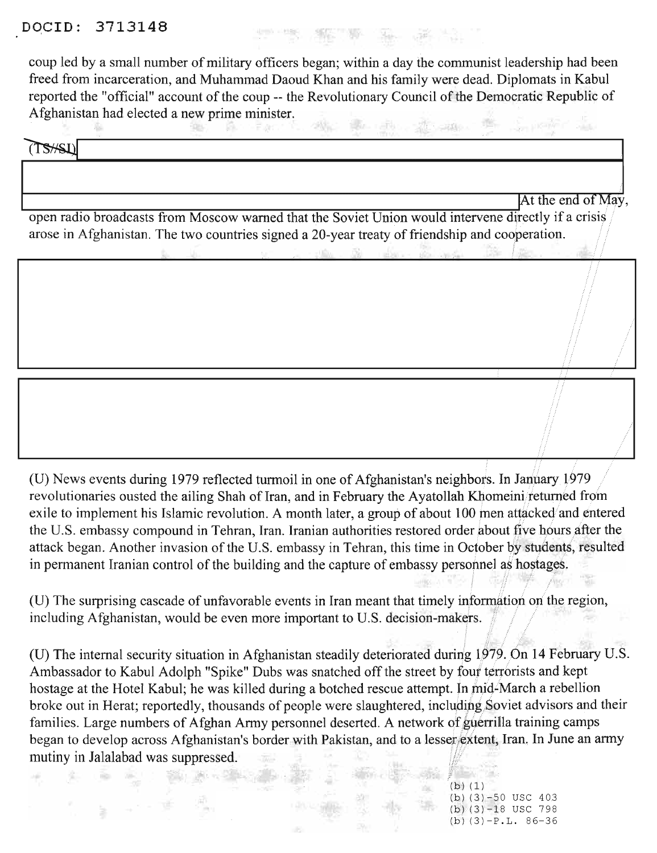## DOCID: 3713148

coup led by a small number of military officers began; within a day the communist leadership had been freed from incarceration, and Muhammad Daoud Khan and his family were dead. Diplomats in Kabul reported the "official" account of the coup -- the Revolutionary Council of the Democratic Republic of Afghanistan had elected a new prime minister.

THE STATE OF SHE WAS

÷W. the story through  $T$ S $#$ SL)

/

iii··i

/

• / /

It the end of May, open radio broadcasts from Moscow warned that the Soviet Union would intervene directly if a crisis arose in Afghanistan. The two countries signed a 20-year treaty of friendship and cooperation.

(U) News events during 1979 reflected turmoil in one of Afghanistan's neighbors. In January 1979 revolutionaries ousted the ailing Shah of Iran, and in February the Ayatollah Khomeini/returned from exile to implement his Islamic revolution. A month later, a group of about 100 men attacked and entered the U.S. embassy compound in Tehran, Iran. Iranian authorities restored order about five hours after the attack began. Another invasion of the U.S. embassy in Tehran, this time in October by students, resulted in permanent Iranian control of the building and the capture of embassy personnel as hostages.

(U) The surprising cascade of unfavorable events in Iran meant that timely information on the region, including Afghanistan, would be even more important to U.S. decision-makers.

(U) The internal security situation in Afghanistan steadily deteriorated during 1979. On 14 February U.S. Ambassador to Kabul Adolph "Spike" Dubs was snatched off the street by four terrorists and kept hostage at the Hotel Kabul; he was killed during a botched rescue attempt. In mid-March a rebellion broke out in Herat; reportedly, thousands of people were slaughtered, including Soviet advisors and their families. Large numbers of Afghan Army personnel deserted. A network of guerrilla training camps began to develop across Afghanistan's border with Pakistan, and to a lesser extent, Iran. In June an army mutiny in Jalalabad was suppressed.

> $(h)$  (1)  $(b)$  (3)  $-50$  USC 403  $(b)$   $(3)$  -18 USC 798  $(b)$  (3)  $-P.L. 86-36$

**Dec**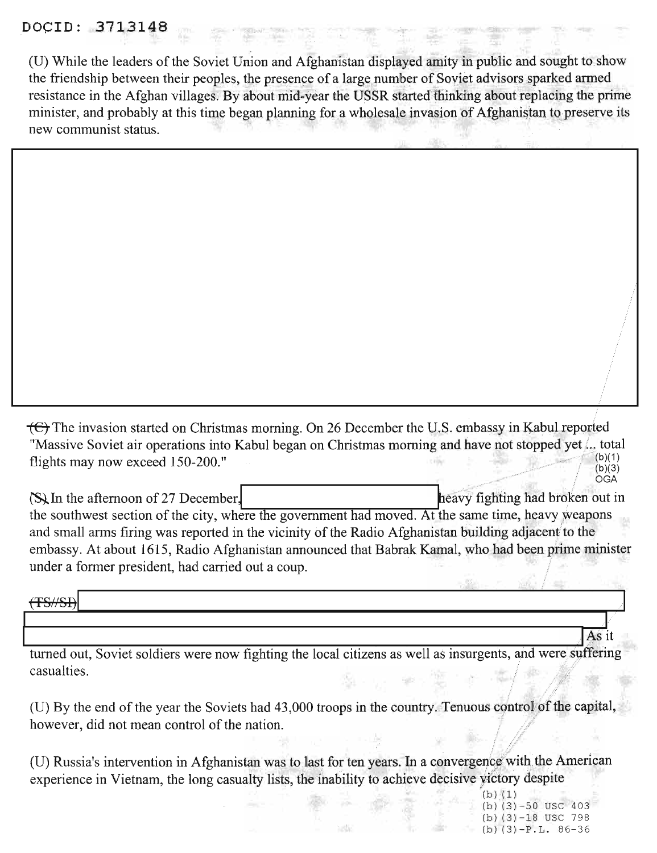## **DOClD: 131**

(U) While the leaders of the Soviet Union and Afghanistan displayed amity in public and sought to show the friendship between their peoples, the presence of a large number of Soviet advisors sparked armed resistance in the Afghan villages. By about mid-year the USSR started thinking about replacing the prime minister, and probably at this time began planning for a wholesale invasion of Afghanistan to preserve its new communist status.

<del>(C)</del> The invasion started on Christmas morning. On 26 December the U.S. embassy in Kabul reported "Massive Soviet air operations into Kabul began on Christmas morning and have not stopped yet... total<br>flights may now exceed 150,000." flights may now exceed 150-200." (b)(1) ... (c) ... (c) ... (c) ... (c) ... (c) ... (c) ... (c) ... (c) ... (c) ... (c) ... (c) ... (c) ... (c) ... (c) ... (c) ... (c) ... (c) ... (c) ... (c) ... (c) ... (c) ... (c) ... (

 $\sum_{n=1}^{\infty}$  In the afternoon of 27 December, the southwest section of the city, where the government had moved. At the same time, heavy weapons and small arms firing was reported in the vicinity of the Radio Afghanistan building adjacent to the embassy. At about 1615, Radio Afghanistan announced that Babrak Kamal, who had been prime minister under a former president, had carried out a coup. (S) In the afternoon of 27 December.<br>
the southwest section of the city, where the government had moved. At the same time, heavy weapons<br>
and small arms firing was reported in the vicinity of the Radio Afghanistan building

turned out, Soviet soldiers were now fighting the local citizens as well as insurgents, and were suffering casualties.

(U) By the end of the year the Soviets had 43,000 troops in the country. Tenuous control of the capital, however, did not mean control of the nation.

(U) Russia's intervention in Afghanistan was to last for ten years. In a convergence with the American experience in Vietnam, the long casualty lists, the inability to achieve decisive victory despite

s alt

 $(b) (1)$  $(b)$  (3) -50 USC 403  $(b)$  (3)  $-18$  USC 798  $(b)$  (3)  $-P.L.86-36$ 

, • OGA